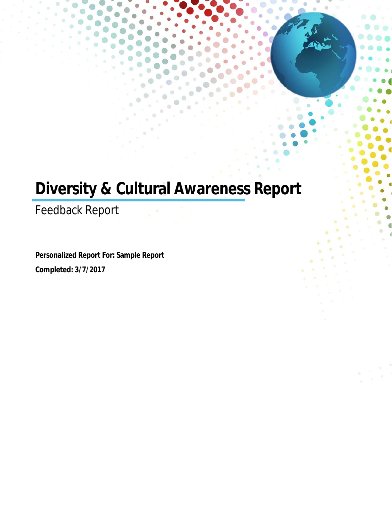# **Diversity & Cultural Awareness Report**

Feedback Report

**Personalized Report For: Sample Report Completed: 3/7/2017**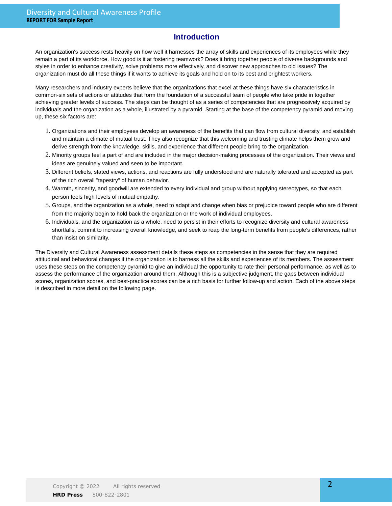### **Introduction**

An organization's success rests heavily on how well it harnesses the array of skills and experiences of its employees while they remain a part of its workforce. How good is it at fostering teamwork? Does it bring together people of diverse backgrounds and styles in order to enhance creativity, solve problems more effectively, and discover new approaches to old issues? The organization must do all these things if it wants to achieve its goals and hold on to its best and brightest workers.

Many researchers and industry experts believe that the organizations that excel at these things have six characteristics in common-six sets of actions or attitudes that form the foundation of a successful team of people who take pride in together achieving greater levels of success. The steps can be thought of as a series of competencies that are progressively acquired by individuals and the organization as a whole, illustrated by a pyramid. Starting at the base of the competency pyramid and moving up, these six factors are:

- 1. Organizations and their employees develop an awareness of the benefits that can flow from cultural diversity, and establish and maintain a climate of mutual trust. They also recognize that this welcoming and trusting climate helps them grow and derive strength from the knowledge, skills, and experience that different people bring to the organization.
- 2. Minority groups feel a part of and are included in the major decision-making processes of the organization. Their views and ideas are genuinely valued and seen to be important.
- Different beliefs, stated views, actions, and reactions are fully understood and are naturally tolerated and accepted as part 3. of the rich overall "tapestry" of human behavior.
- Warmth, sincerity, and goodwill are extended to every individual and group without applying stereotypes, so that each 4. person feels high levels of mutual empathy.
- 5. Groups, and the organization as a whole, need to adapt and change when bias or prejudice toward people who are different from the majority begin to hold back the organization or the work of individual employees.
- 6. Individuals, and the organization as a whole, need to persist in their efforts to recognize diversity and cultural awareness shortfalls, commit to increasing overall knowledge, and seek to reap the long-term benefits from people's differences, rather than insist on similarity.

The Diversity and Cultural Awareness assessment details these steps as competencies in the sense that they are required attitudinal and behavioral changes if the organization is to harness all the skills and experiences of its members. The assessment uses these steps on the competency pyramid to give an individual the opportunity to rate their personal performance, as well as to assess the performance of the organization around them. Although this is a subjective judgment, the gaps between individual scores, organization scores, and best-practice scores can be a rich basis for further follow-up and action. Each of the above steps is described in more detail on the following page.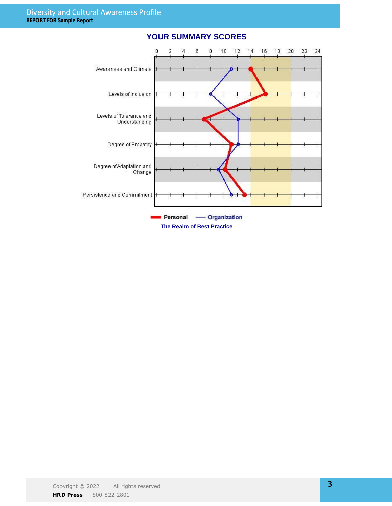

### **YOUR SUMMARY SCORES**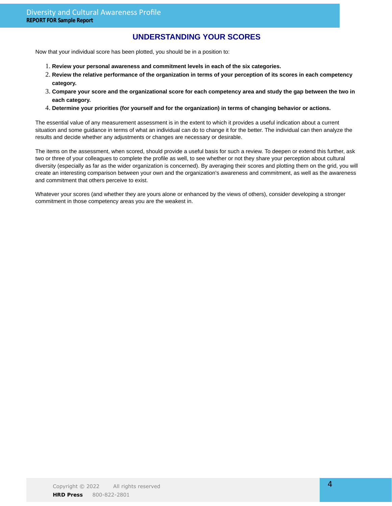### **UNDERSTANDING YOUR SCORES**

Now that your individual score has been plotted, you should be in a position to:

- 1. **Review your personal awareness and commitment levels in each of the six categories.**
- **Review the relative performance of the organization in terms of your perception of its scores in each competency** 2. **category.**
- **Compare your score and the organizational score for each competency area and study the gap between the two in** 3. **each category.**
- 4. **Determine your priorities (for yourself and for the organization) in terms of changing behavior or actions.**

The essential value of any measurement assessment is in the extent to which it provides a useful indication about a current situation and some guidance in terms of what an individual can do to change it for the better. The individual can then analyze the results and decide whether any adjustments or changes are necessary or desirable.

The items on the assessment, when scored, should provide a useful basis for such a review. To deepen or extend this further, ask two or three of your colleagues to complete the profile as well, to see whether or not they share your perception about cultural diversity (especially as far as the wider organization is concerned). By averaging their scores and plotting them on the grid, you will create an interesting comparison between your own and the organization's awareness and commitment, as well as the awareness and commitment that others perceive to exist.

Whatever your scores (and whether they are yours alone or enhanced by the views of others), consider developing a stronger commitment in those competency areas you are the weakest in.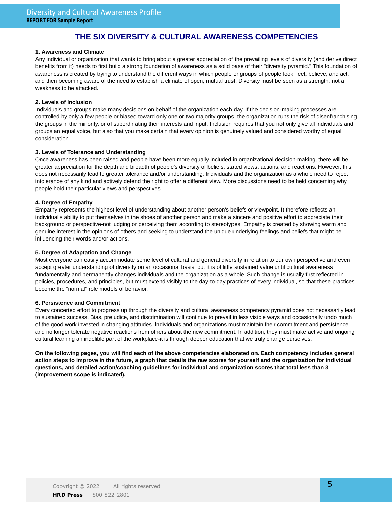### **THE SIX DIVERSITY & CULTURAL AWARENESS COMPETENCIES**

### **1. Awareness and Climate**

Any individual or organization that wants to bring about a greater appreciation of the prevailing levels of diversity (and derive direct benefits from it) needs to first build a strong foundation of awareness as a solid base of their "diversity pyramid." This foundation of awareness is created by trying to understand the different ways in which people or groups of people look, feel, believe, and act, and then becoming aware of the need to establish a climate of open, mutual trust. Diversity must be seen as a strength, not a weakness to be attacked.

### **2. Levels of Inclusion**

Individuals and groups make many decisions on behalf of the organization each day. If the decision-making processes are controlled by only a few people or biased toward only one or two majority groups, the organization runs the risk of disenfranchising the groups in the minority, or of subordinating their interests and input. Inclusion requires that you not only give all individuals and groups an equal voice, but also that you make certain that every opinion is genuinely valued and considered worthy of equal consideration.

### **3. Levels of Tolerance and Understanding**

Once awareness has been raised and people have been more equally included in organizational decision-making, there will be greater appreciation for the depth and breadth of people's diversity of beliefs, stated views, actions, and reactions. However, this does not necessarily lead to greater tolerance and/or understanding. Individuals and the organization as a whole need to reject intolerance of any kind and actively defend the right to offer a different view. More discussions need to be held concerning why people hold their particular views and perspectives.

#### **4. Degree of Empathy**

Empathy represents the highest level of understanding about another person's beliefs or viewpoint. It therefore reflects an individual's ability to put themselves in the shoes of another person and make a sincere and positive effort to appreciate their background or perspective-not judging or perceiving them according to stereotypes. Empathy is created by showing warm and genuine interest in the opinions of others and seeking to understand the unique underlying feelings and beliefs that might be influencing their words and/or actions.

#### **5. Degree of Adaptation and Change**

Most everyone can easily accommodate some level of cultural and general diversity in relation to our own perspective and even accept greater understanding of diversity on an occasional basis, but it is of little sustained value until cultural awareness fundamentally and permanently changes individuals and the organization as a whole. Such change is usually first reflected in policies, procedures, and principles, but must extend visibly to the day-to-day practices of every individual, so that these practices become the "normal" role models of behavior.

### **6. Persistence and Commitment**

Every concerted effort to progress up through the diversity and cultural awareness competency pyramid does not necessarily lead to sustained success. Bias, prejudice, and discrimination will continue to prevail in less visible ways and occasionally undo much of the good work invested in changing attitudes. Individuals and organizations must maintain their commitment and persistence and no longer tolerate negative reactions from others about the new commitment. In addition, they must make active and ongoing cultural learning an indelible part of the workplace-it is through deeper education that we truly change ourselves.

**On the following pages, you will find each of the above competencies elaborated on. Each competency includes general action steps to improve in the future, a graph that details the raw scores for yourself and the organization for individual questions, and detailed action/coaching guidelines for individual and organization scores that total less than 3 (improvement scope is indicated).**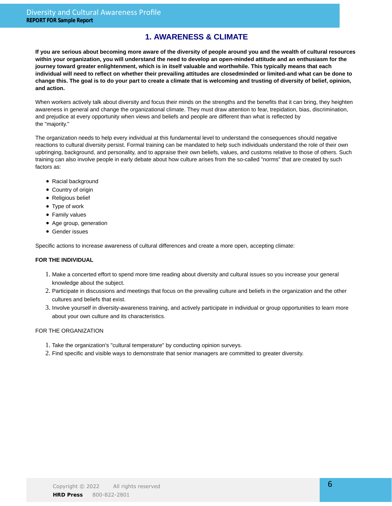### **1. AWARENESS & CLIMATE**

**If you are serious about becoming more aware of the diversity of people around you and the wealth of cultural resources within your organization, you will understand the need to develop an open-minded attitude and an enthusiasm for the journey toward greater enlightenment, which is in itself valuable and worthwhile. This typically means that each individual will need to reflect on whether their prevailing attitudes are closedminded or limited-and what can be done to change this. The goal is to do your part to create a climate that is welcoming and trusting of diversity of belief, opinion, and action.**

When workers actively talk about diversity and focus their minds on the strengths and the benefits that it can bring, they heighten awareness in general and change the organizational climate. They must draw attention to fear, trepidation, bias, discrimination, and prejudice at every opportunity when views and beliefs and people are different than what is reflected by the "majority."

The organization needs to help every individual at this fundamental level to understand the consequences should negative reactions to cultural diversity persist. Formal training can be mandated to help such individuals understand the role of their own upbringing, background, and personality, and to appraise their own beliefs, values, and customs relative to those of others. Such training can also involve people in early debate about how culture arises from the so-called "norms" that are created by such factors as:

- Racial background
- Country of origin
- Religious belief
- Type of work
- Family values
- Age group, generation
- Gender issues

Specific actions to increase awareness of cultural differences and create a more open, accepting climate:

### **FOR THE INDIVIDUAL**

- Make a concerted effort to spend more time reading about diversity and cultural issues so you increase your general 1. knowledge about the subject.
- 2. Participate in discussions and meetings that focus on the prevailing culture and beliefs in the organization and the other cultures and beliefs that exist.
- 3. Involve yourself in diversity-awareness training, and actively participate in individual or group opportunities to learn more about your own culture and its characteristics.

- 1. Take the organization's "cultural temperature" by conducting opinion surveys.
- 2. Find specific and visible ways to demonstrate that senior managers are committed to greater diversity.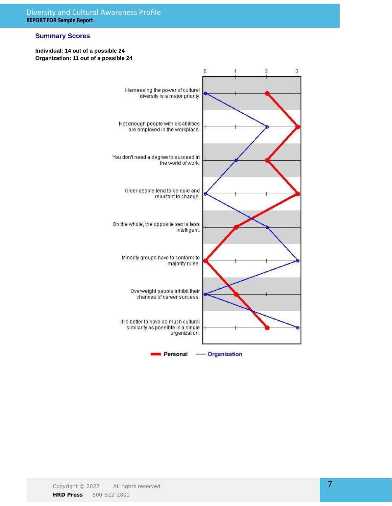### **Summary Scores**

### **Individual: 14 out of a possible 24 Organization: 11 out of a possible 24**

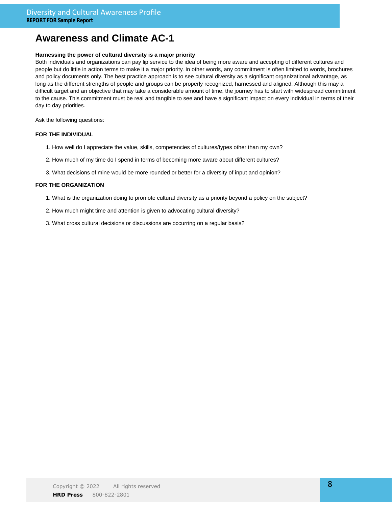### **Awareness and Climate AC-1**

### **Harnessing the power of cultural diversity is a major priority**

Both individuals and organizations can pay lip service to the idea of being more aware and accepting of different cultures and people but do little in action terms to make it a major priority. In other words, any commitment is often limited to words, brochures and policy documents only. The best practice approach is to see cultural diversity as a significant organizational advantage, as long as the different strengths of people and groups can be properly recognized, harnessed and aligned. Although this may a difficult target and an objective that may take a considerable amount of time, the journey has to start with widespread commitment to the cause. This commitment must be real and tangible to see and have a significant impact on every individual in terms of their day to day priorities.

Ask the following questions:

#### **FOR THE INDIVIDUAL**

- 1. How well do I appreciate the value, skills, competencies of cultures/types other than my own?
- 2. How much of my time do I spend in terms of becoming more aware about different cultures?
- 3. What decisions of mine would be more rounded or better for a diversity of input and opinion?

- 1. What is the organization doing to promote cultural diversity as a priority beyond a policy on the subject?
- 2. How much might time and attention is given to advocating cultural diversity?
- 3. What cross cultural decisions or discussions are occurring on a regular basis?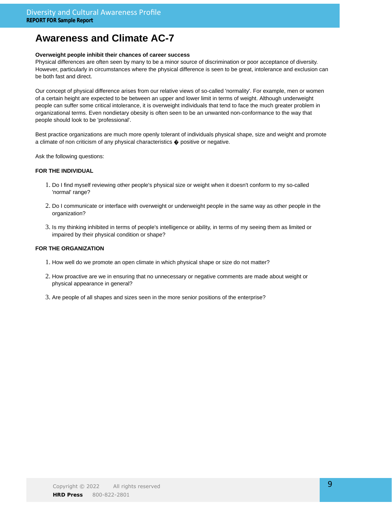### **Awareness and Climate AC-7**

#### **Overweight people inhibit their chances of career success**

Physical differences are often seen by many to be a minor source of discrimination or poor acceptance of diversity. However, particularly in circumstances where the physical difference is seen to be great, intolerance and exclusion can be both fast and direct.

Our concept of physical difference arises from our relative views of so-called 'normality'. For example, men or women of a certain height are expected to be between an upper and lower limit in terms of weight. Although underweight people can suffer some critical intolerance, it is overweight individuals that tend to face the much greater problem in organizational terms. Even nondietary obesity is often seen to be an unwanted non-conformance to the way that people should look to be 'professional'.

Best practice organizations are much more openly tolerant of individuals physical shape, size and weight and promote a climate of non criticism of any physical characteristics  $\spadesuit$  positive or negative.

Ask the following questions:

### **FOR THE INDIVIDUAL**

- 1. Do I find myself reviewing other people's physical size or weight when it doesn't conform to my so-called 'normal' range?
- 2. Do I communicate or interface with overweight or underweight people in the same way as other people in the organization?
- 3. Is my thinking inhibited in terms of people's intelligence or ability, in terms of my seeing them as limited or impaired by their physical condition or shape?

- 1. How well do we promote an open climate in which physical shape or size do not matter?
- 2. How proactive are we in ensuring that no unnecessary or negative comments are made about weight or physical appearance in general?
- 3. Are people of all shapes and sizes seen in the more senior positions of the enterprise?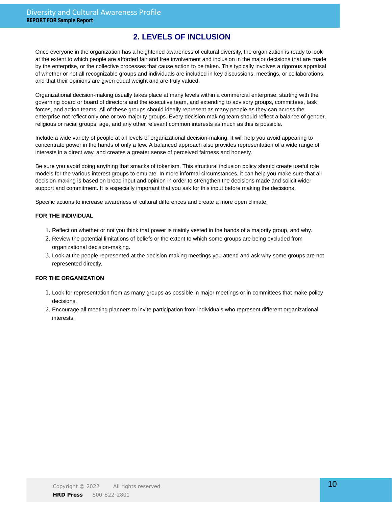### **2. LEVELS OF INCLUSION**

Once everyone in the organization has a heightened awareness of cultural diversity, the organization is ready to look at the extent to which people are afforded fair and free involvement and inclusion in the major decisions that are made by the enterprise, or the collective processes that cause action to be taken. This typically involves a rigorous appraisal of whether or not all recognizable groups and individuals are included in key discussions, meetings, or collaborations, and that their opinions are given equal weight and are truly valued.

Organizational decision-making usually takes place at many levels within a commercial enterprise, starting with the governing board or board of directors and the executive team, and extending to advisory groups, committees, task forces, and action teams. All of these groups should ideally represent as many people as they can across the enterprise-not reflect only one or two majority groups. Every decision-making team should reflect a balance of gender, religious or racial groups, age, and any other relevant common interests as much as this is possible.

Include a wide variety of people at all levels of organizational decision-making. It will help you avoid appearing to concentrate power in the hands of only a few. A balanced approach also provides representation of a wide range of interests in a direct way, and creates a greater sense of perceived fairness and honesty.

Be sure you avoid doing anything that smacks of tokenism. This structural inclusion policy should create useful role models for the various interest groups to emulate. In more informal circumstances, it can help you make sure that all decision-making is based on broad input and opinion in order to strengthen the decisions made and solicit wider support and commitment. It is especially important that you ask for this input before making the decisions.

Specific actions to increase awareness of cultural differences and create a more open climate:

#### **FOR THE INDIVIDUAL**

- 1. Reflect on whether or not you think that power is mainly vested in the hands of a majority group, and why.
- 2. Review the potential limitations of beliefs or the extent to which some groups are being excluded from organizational decision-making.
- Look at the people represented at the decision-making meetings you attend and ask why some groups are not 3. represented directly.

- 1. Look for representation from as many groups as possible in major meetings or in committees that make policy decisions.
- Encourage all meeting planners to invite participation from individuals who represent different organizational 2. interests.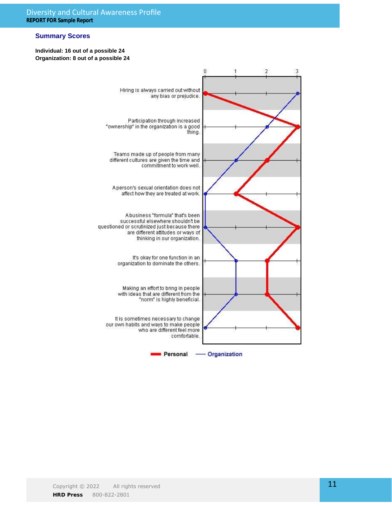### **Summary Scores**

### **Individual: 16 out of a possible 24 Organization: 8 out of a possible 24**

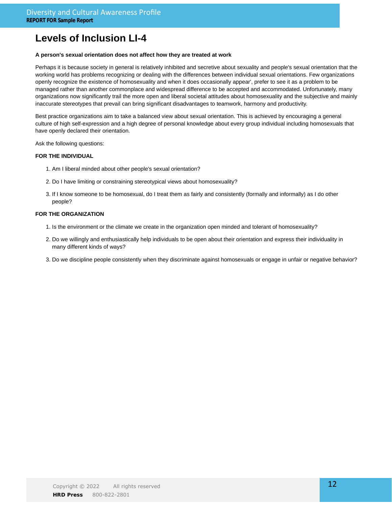### **Levels of Inclusion LI-4**

#### **A person's sexual orientation does not affect how they are treated at work**

Perhaps it is because society in general is relatively inhibited and secretive about sexuality and people's sexual orientation that the working world has problems recognizing or dealing with the differences between individual sexual orientations. Few organizations openly recognize the existence of homosexuality and when it does occasionally appear', prefer to see it as a problem to be managed rather than another commonplace and widespread difference to be accepted and accommodated. Unfortunately, many organizations now significantly trail the more open and liberal societal attitudes about homosexuality and the subjective and mainly inaccurate stereotypes that prevail can bring significant disadvantages to teamwork, harmony and productivity.

Best practice organizations aim to take a balanced view about sexual orientation. This is achieved by encouraging a general culture of high self-expression and a high degree of personal knowledge about every group individual including homosexuals that have openly declared their orientation.

Ask the following questions:

#### **FOR THE INDIVIDUAL**

- 1. Am I liberal minded about other people's sexual orientation?
- 2. Do I have limiting or constraining stereotypical views about homosexuality?
- 3. If I know someone to be homosexual, do I treat them as fairly and consistently (formally and informally) as I do other people?

- 1. Is the environment or the climate we create in the organization open minded and tolerant of homosexuality?
- 2. Do we willingly and enthusiastically help individuals to be open about their orientation and express their individuality in many different kinds of ways?
- 3. Do we discipline people consistently when they discriminate against homosexuals or engage in unfair or negative behavior?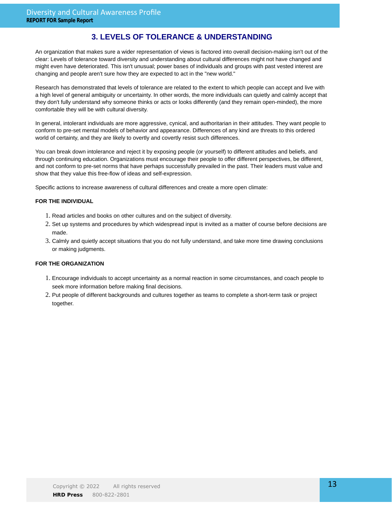### **3. LEVELS OF TOLERANCE & UNDERSTANDING**

An organization that makes sure a wider representation of views is factored into overall decision-making isn't out of the clear: Levels of tolerance toward diversity and understanding about cultural differences might not have changed and might even have deteriorated. This isn't unusual; power bases of individuals and groups with past vested interest are changing and people aren't sure how they are expected to act in the "new world."

Research has demonstrated that levels of tolerance are related to the extent to which people can accept and live with a high level of general ambiguity or uncertainty. In other words, the more individuals can quietly and calmly accept that they don't fully understand why someone thinks or acts or looks differently (and they remain open-minded), the more comfortable they will be with cultural diversity.

In general, intolerant individuals are more aggressive, cynical, and authoritarian in their attitudes. They want people to conform to pre-set mental models of behavior and appearance. Differences of any kind are threats to this ordered world of certainty, and they are likely to overtly and covertly resist such differences.

You can break down intolerance and reject it by exposing people (or yourself) to different attitudes and beliefs, and through continuing education. Organizations must encourage their people to offer different perspectives, be different, and not conform to pre-set norms that have perhaps successfully prevailed in the past. Their leaders must value and show that they value this free-flow of ideas and self-expression.

Specific actions to increase awareness of cultural differences and create a more open climate:

### **FOR THE INDIVIDUAL**

- 1. Read articles and books on other cultures and on the subject of diversity.
- 2. Set up systems and procedures by which widespread input is invited as a matter of course before decisions are made.
- 3. Calmly and quietly accept situations that you do not fully understand, and take more time drawing conclusions or making judgments.

- Encourage individuals to accept uncertainty as a normal reaction in some circumstances, and coach people to 1. seek more information before making final decisions.
- 2. Put people of different backgrounds and cultures together as teams to complete a short-term task or project together.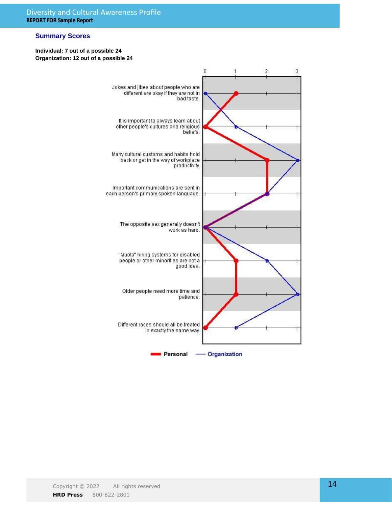### **Summary Scores**

### **Individual: 7 out of a possible 24 Organization: 12 out of a possible 24**

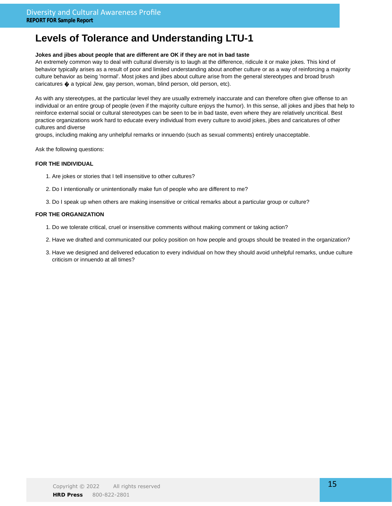### **Jokes and jibes about people that are different are OK if they are not in bad taste**

An extremely common way to deal with cultural diversity is to laugh at the difference, ridicule it or make jokes. This kind of behavior typically arises as a result of poor and limited understanding about another culture or as a way of reinforcing a majority culture behavior as being 'normal'. Most jokes and jibes about culture arise from the general stereotypes and broad brush caricatures  $\spadesuit$  a typical Jew, gay person, woman, blind person, old person, etc).

As with any stereotypes, at the particular level they are usually extremely inaccurate and can therefore often give offense to an individual or an entire group of people (even if the majority culture enjoys the humor). In this sense, all jokes and jibes that help to reinforce external social or cultural stereotypes can be seen to be in bad taste, even where they are relatively uncritical. Best practice organizations work hard to educate every individual from every culture to avoid jokes, jibes and caricatures of other cultures and diverse

groups, including making any unhelpful remarks or innuendo (such as sexual comments) entirely unacceptable.

Ask the following questions:

### **FOR THE INDIVIDUAL**

- 1. Are jokes or stories that I tell insensitive to other cultures?
- 2. Do I intentionally or unintentionally make fun of people who are different to me?
- 3. Do I speak up when others are making insensitive or critical remarks about a particular group or culture?

- 1. Do we tolerate critical, cruel or insensitive comments without making comment or taking action?
- 2. Have we drafted and communicated our policy position on how people and groups should be treated in the organization?
- 3. Have we designed and delivered education to every individual on how they should avoid unhelpful remarks, undue culture criticism or innuendo at all times?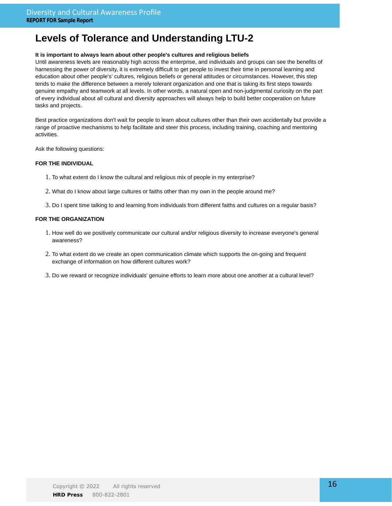### **It is important to always learn about other people's cultures and religious beliefs**

Until awareness levels are reasonably high across the enterprise, and individuals and groups can see the benefits of harnessing the power of diversity, it is extremely difficult to get people to invest their time in personal learning and education about other people's' cultures, religious beliefs or general attitudes or circumstances. However, this step tends to make the difference between a merely tolerant organization and one that is taking its first steps towards genuine empathy and teamwork at all levels. In other words, a natural open and non-judgmental curiosity on the part of every individual about all cultural and diversity approaches will always help to build better cooperation on future tasks and projects.

Best practice organizations don't wait for people to learn about cultures other than their own accidentally but provide a range of proactive mechanisms to help facilitate and steer this process, including training, coaching and mentoring activities.

Ask the following questions:

### **FOR THE INDIVIDUAL**

- 1. To what extent do I know the cultural and religious mix of people in my enterprise?
- 2. What do I know about large cultures or faiths other than my own in the people around me?
- 3. Do I spent time talking to and learning from individuals from different faiths and cultures on a regular basis?

- 1. How well do we positively communicate our cultural and/or religious diversity to increase everyone's general awareness?
- 2. To what extent do we create an open communication climate which supports the on-going and frequent exchange of information on how different cultures work?
- 3. Do we reward or recognize individuals' genuine efforts to learn more about one another at a cultural level?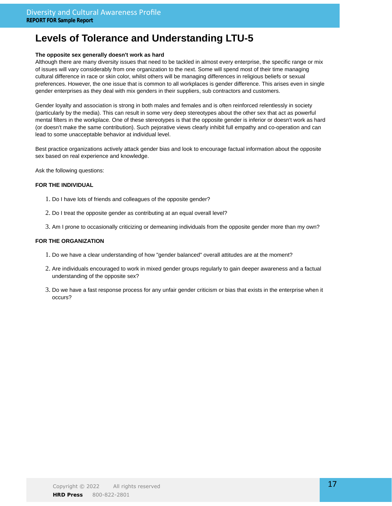### **The opposite sex generally doesn't work as hard**

Although there are many diversity issues that need to be tackled in almost every enterprise, the specific range or mix of issues will vary considerably from one organization to the next. Some will spend most of their time managing cultural difference in race or skin color, whilst others will be managing differences in religious beliefs or sexual preferences. However, the one issue that is common to all workplaces is gender difference. This arises even in single gender enterprises as they deal with mix genders in their suppliers, sub contractors and customers.

Gender loyalty and association is strong in both males and females and is often reinforced relentlessly in society (particularly by the media). This can result in some very deep stereotypes about the other sex that act as powerful mental filters in the workplace. One of these stereotypes is that the opposite gender is inferior or doesn't work as hard (or doesn't make the same contribution). Such pejorative views clearly inhibit full empathy and co-operation and can lead to some unacceptable behavior at individual level.

Best practice organizations actively attack gender bias and look to encourage factual information about the opposite sex based on real experience and knowledge.

Ask the following questions:

### **FOR THE INDIVIDUAL**

- 1. Do I have lots of friends and colleagues of the opposite gender?
- 2. Do I treat the opposite gender as contributing at an equal overall level?
- 3. Am I prone to occasionally criticizing or demeaning individuals from the opposite gender more than my own?

- 1. Do we have a clear understanding of how "gender balanced" overall attitudes are at the moment?
- Are individuals encouraged to work in mixed gender groups regularly to gain deeper awareness and a factual 2. understanding of the opposite sex?
- 3. Do we have a fast response process for any unfair gender criticism or bias that exists in the enterprise when it occurs?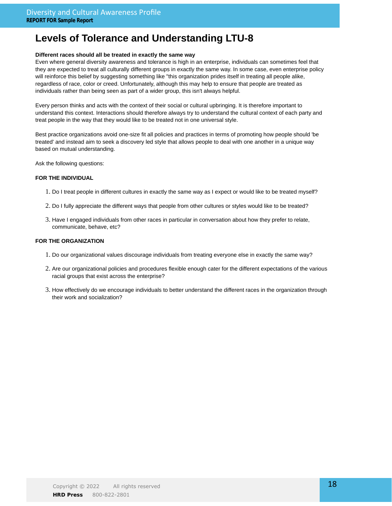### **Different races should all be treated in exactly the same way**

Even where general diversity awareness and tolerance is high in an enterprise, individuals can sometimes feel that they are expected to treat all culturally different groups in exactly the same way. In some case, even enterprise policy will reinforce this belief by suggesting something like "this organization prides itself in treating all people alike, regardless of race, color or creed. Unfortunately, although this may help to ensure that people are treated as individuals rather than being seen as part of a wider group, this isn't always helpful.

Every person thinks and acts with the context of their social or cultural upbringing. It is therefore important to understand this context. Interactions should therefore always try to understand the cultural context of each party and treat people in the way that they would like to be treated not in one universal style.

Best practice organizations avoid one-size fit all policies and practices in terms of promoting how people should 'be treated' and instead aim to seek a discovery led style that allows people to deal with one another in a unique way based on mutual understanding.

Ask the following questions:

### **FOR THE INDIVIDUAL**

- 1. Do I treat people in different cultures in exactly the same way as I expect or would like to be treated myself?
- 2. Do I fully appreciate the different ways that people from other cultures or styles would like to be treated?
- 3. Have I engaged individuals from other races in particular in conversation about how they prefer to relate, communicate, behave, etc?

- 1. Do our organizational values discourage individuals from treating everyone else in exactly the same way?
- 2. Are our organizational policies and procedures flexible enough cater for the different expectations of the various racial groups that exist across the enterprise?
- 3. How effectively do we encourage individuals to better understand the different races in the organization through their work and socialization?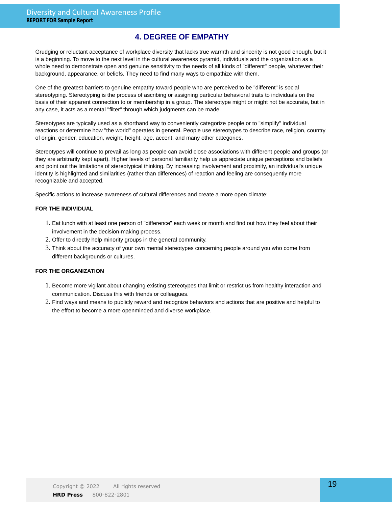### **4. DEGREE OF EMPATHY**

Grudging or reluctant acceptance of workplace diversity that lacks true warmth and sincerity is not good enough, but it is a beginning. To move to the next level in the cultural awareness pyramid, individuals and the organization as a whole need to demonstrate open and genuine sensitivity to the needs of all kinds of "different" people, whatever their background, appearance, or beliefs. They need to find many ways to empathize with them.

One of the greatest barriers to genuine empathy toward people who are perceived to be "different" is social stereotyping. Stereotyping is the process of ascribing or assigning particular behavioral traits to individuals on the basis of their apparent connection to or membership in a group. The stereotype might or might not be accurate, but in any case, it acts as a mental "filter" through which judgments can be made.

Stereotypes are typically used as a shorthand way to conveniently categorize people or to "simplify" individual reactions or determine how "the world" operates in general. People use stereotypes to describe race, religion, country of origin, gender, education, weight, height, age, accent, and many other categories.

Stereotypes will continue to prevail as long as people can avoid close associations with different people and groups (or they are arbitrarily kept apart). Higher levels of personal familiarity help us appreciate unique perceptions and beliefs and point out the limitations of stereotypical thinking. By increasing involvement and proximity, an individual's unique identity is highlighted and similarities (rather than differences) of reaction and feeling are consequently more recognizable and accepted.

Specific actions to increase awareness of cultural differences and create a more open climate:

### **FOR THE INDIVIDUAL**

- Eat lunch with at least one person of "difference" each week or month and find out how they feel about their 1. involvement in the decision-making process.
- 2. Offer to directly help minority groups in the general community.
- Think about the accuracy of your own mental stereotypes concerning people around you who come from 3. different backgrounds or cultures.

- 1. Become more vigilant about changing existing stereotypes that limit or restrict us from healthy interaction and communication. Discuss this with friends or colleagues.
- 2. Find ways and means to publicly reward and recognize behaviors and actions that are positive and helpful to the effort to become a more openminded and diverse workplace.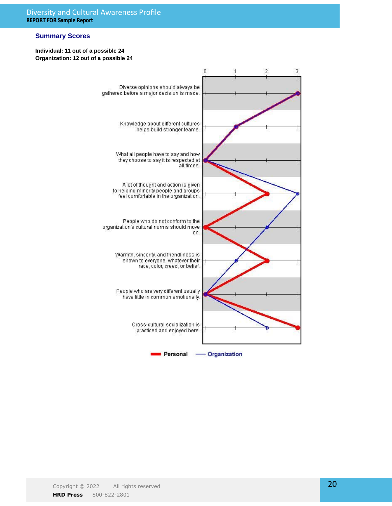### **Summary Scores**

#### **Individual: 11 out of a possible 24 Organization: 12 out of a possible 24**

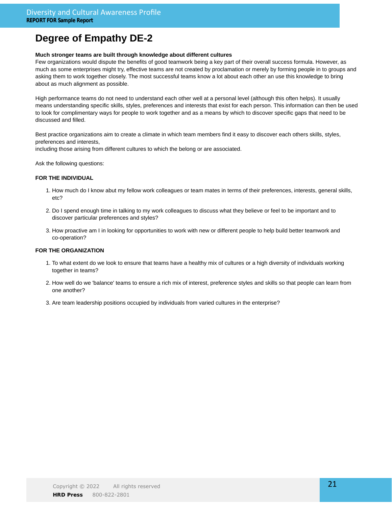#### **Much stronger teams are built through knowledge about different cultures**

Few organizations would dispute the benefits of good teamwork being a key part of their overall success formula. However, as much as some enterprises might try, effective teams are not created by proclamation or merely by forming people in to groups and asking them to work together closely. The most successful teams know a lot about each other an use this knowledge to bring about as much alignment as possible.

High performance teams do not need to understand each other well at a personal level (although this often helps). It usually means understanding specific skills, styles, preferences and interests that exist for each person. This information can then be used to look for complimentary ways for people to work together and as a means by which to discover specific gaps that need to be discussed and filled.

Best practice organizations aim to create a climate in which team members find it easy to discover each others skills, styles, preferences and interests,

including those arising from different cultures to which the belong or are associated.

Ask the following questions:

### **FOR THE INDIVIDUAL**

- 1. How much do I know abut my fellow work colleagues or team mates in terms of their preferences, interests, general skills, etc?
- Do I spend enough time in talking to my work colleagues to discuss what they believe or feel to be important and to 2. discover particular preferences and styles?
- 3. How proactive am I in looking for opportunities to work with new or different people to help build better teamwork and co-operation?

- 1. To what extent do we look to ensure that teams have a healthy mix of cultures or a high diversity of individuals working together in teams?
- 2. How well do we 'balance' teams to ensure a rich mix of interest, preference styles and skills so that people can learn from one another?
- 3. Are team leadership positions occupied by individuals from varied cultures in the enterprise?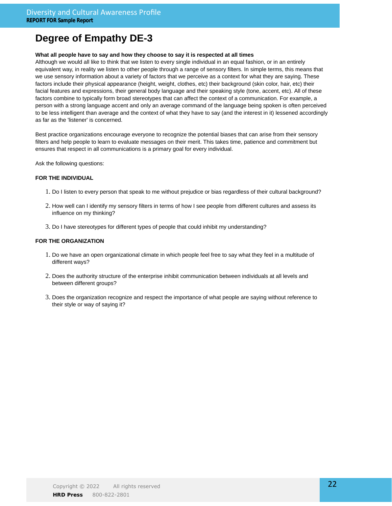### **What all people have to say and how they choose to say it is respected at all times**

Although we would all like to think that we listen to every single individual in an equal fashion, or in an entirely equivalent way, in reality we listen to other people through a range of sensory filters. In simple terms, this means that we use sensory information about a variety of factors that we perceive as a context for what they are saying. These factors include their physical appearance (height, weight, clothes, etc) their background (skin color, hair, etc) their facial features and expressions, their general body language and their speaking style (tone, accent, etc). All of these factors combine to typically form broad stereotypes that can affect the context of a communication. For example, a person with a strong language accent and only an average command of the language being spoken is often perceived to be less intelligent than average and the context of what they have to say (and the interest in it) lessened accordingly as far as the 'listener' is concerned.

Best practice organizations encourage everyone to recognize the potential biases that can arise from their sensory filters and help people to learn to evaluate messages on their merit. This takes time, patience and commitment but ensures that respect in all communications is a primary goal for every individual.

Ask the following questions:

### **FOR THE INDIVIDUAL**

- 1. Do I listen to every person that speak to me without prejudice or bias regardless of their cultural background?
- 2. How well can I identify my sensory filters in terms of how I see people from different cultures and assess its influence on my thinking?
- 3. Do I have stereotypes for different types of people that could inhibit my understanding?

- 1. Do we have an open organizational climate in which people feel free to say what they feel in a multitude of different ways?
- 2. Does the authority structure of the enterprise inhibit communication between individuals at all levels and between different groups?
- Does the organization recognize and respect the importance of what people are saying without reference to 3. their style or way of saying it?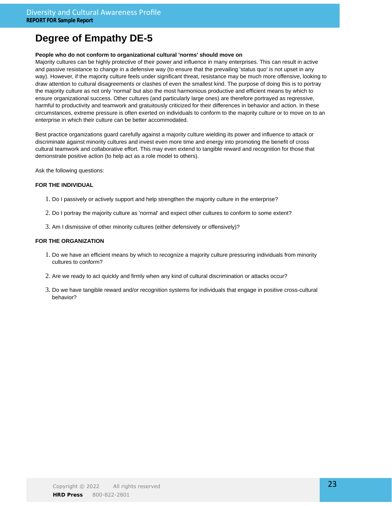### **People who do not conform to organizational cultural 'norms' should move on**

Majority cultures can be highly protective of their power and influence in many enterprises. This can result in active and passive resistance to change in a defensive way (to ensure that the prevailing 'status quo' is not upset in any way). However, if the majority culture feels under significant threat, resistance may be much more offensive, looking to draw attention to cultural disagreements or clashes of even the smallest kind. The purpose of doing this is to portray the majority culture as not only 'normal' but also the most harmonious productive and efficient means by which to ensure organizational success. Other cultures (and particularly large ones) are therefore portrayed as regressive, harmful to productivity and teamwork and gratuitously criticized for their differences in behavior and action. In these circumstances, extreme pressure is often exerted on individuals to conform to the majority culture or to move on to an enterprise in which their culture can be better accommodated.

Best practice organizations guard carefully against a majority culture wielding its power and influence to attack or discriminate against minority cultures and invest even more time and energy into promoting the benefit of cross cultural teamwork and collaborative effort. This may even extend to tangible reward and recognition for those that demonstrate positive action (to help act as a role model to others).

Ask the following questions:

### **FOR THE INDIVIDUAL**

- 1. Do I passively or actively support and help strengthen the majority culture in the enterprise?
- 2. Do I portray the majority culture as 'normal' and expect other cultures to conform to some extent?
- 3. Am I dismissive of other minority cultures (either defensively or offensively)?

- 1. Do we have an efficient means by which to recognize a majority culture pressuring individuals from minority cultures to conform?
- 2. Are we ready to act quickly and firmly when any kind of cultural discrimination or attacks occur?
- 3. Do we have tangible reward and/or recognition systems for individuals that engage in positive cross-cultural behavior?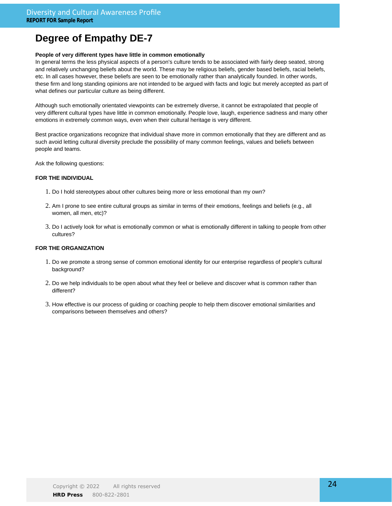### **People of very different types have little in common emotionally**

In general terms the less physical aspects of a person's culture tends to be associated with fairly deep seated, strong and relatively unchanging beliefs about the world. These may be religious beliefs, gender based beliefs, racial beliefs, etc. In all cases however, these beliefs are seen to be emotionally rather than analytically founded. In other words, these firm and long standing opinions are not intended to be argued with facts and logic but merely accepted as part of what defines our particular culture as being different.

Although such emotionally orientated viewpoints can be extremely diverse, it cannot be extrapolated that people of very different cultural types have little in common emotionally. People love, laugh, experience sadness and many other emotions in extremely common ways, even when their cultural heritage is very different.

Best practice organizations recognize that individual shave more in common emotionally that they are different and as such avoid letting cultural diversity preclude the possibility of many common feelings, values and beliefs between people and teams.

Ask the following questions:

### **FOR THE INDIVIDUAL**

- 1. Do I hold stereotypes about other cultures being more or less emotional than my own?
- 2. Am I prone to see entire cultural groups as similar in terms of their emotions, feelings and beliefs (e.g., all women, all men, etc)?
- 3. Do I actively look for what is emotionally common or what is emotionally different in talking to people from other cultures?

- 1. Do we promote a strong sense of common emotional identity for our enterprise regardless of people's cultural background?
- 2. Do we help individuals to be open about what they feel or believe and discover what is common rather than different?
- 3. How effective is our process of guiding or coaching people to help them discover emotional similarities and comparisons between themselves and others?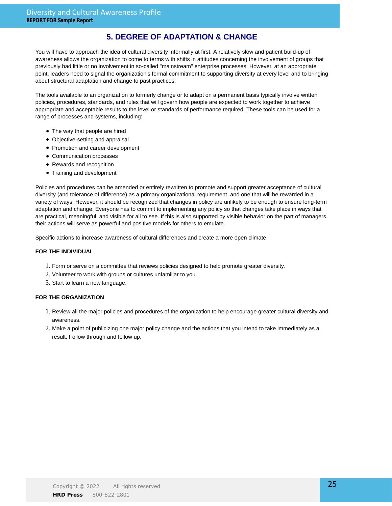### **5. DEGREE OF ADAPTATION & CHANGE**

You will have to approach the idea of cultural diversity informally at first. A relatively slow and patient build-up of awareness allows the organization to come to terms with shifts in attitudes concerning the involvement of groups that previously had little or no involvement in so-called "mainstream" enterprise processes. However, at an appropriate point, leaders need to signal the organization's formal commitment to supporting diversity at every level and to bringing about structural adaptation and change to past practices.

The tools available to an organization to formerly change or to adapt on a permanent basis typically involve written policies, procedures, standards, and rules that will govern how people are expected to work together to achieve appropriate and acceptable results to the level or standards of performance required. These tools can be used for a range of processes and systems, including:

- The way that people are hired
- Objective-setting and appraisal
- Promotion and career development
- Communication processes
- Rewards and recognition
- Training and development

Policies and procedures can be amended or entirely rewritten to promote and support greater acceptance of cultural diversity (and tolerance of difference) as a primary organizational requirement, and one that will be rewarded in a variety of ways. However, it should be recognized that changes in policy are unlikely to be enough to ensure long-term adaptation and change. Everyone has to commit to implementing any policy so that changes take place in ways that are practical, meaningful, and visible for all to see. If this is also supported by visible behavior on the part of managers, their actions will serve as powerful and positive models for others to emulate.

Specific actions to increase awareness of cultural differences and create a more open climate:

### **FOR THE INDIVIDUAL**

- 1. Form or serve on a committee that reviews policies designed to help promote greater diversity.
- 2. Volunteer to work with groups or cultures unfamiliar to you.
- 3. Start to learn a new language.

- 1. Review all the major policies and procedures of the organization to help encourage greater cultural diversity and awareness.
- Make a point of publicizing one major policy change and the actions that you intend to take immediately as a 2. result. Follow through and follow up.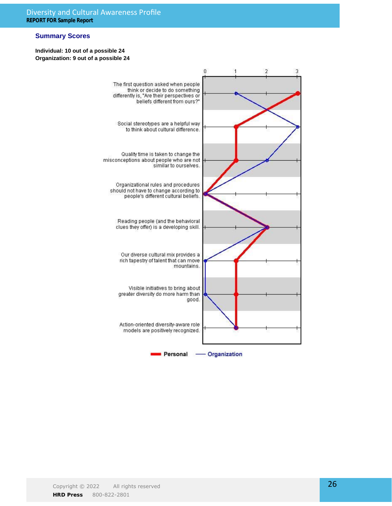### **Summary Scores**

### **Individual: 10 out of a possible 24 Organization: 9 out of a possible 24**

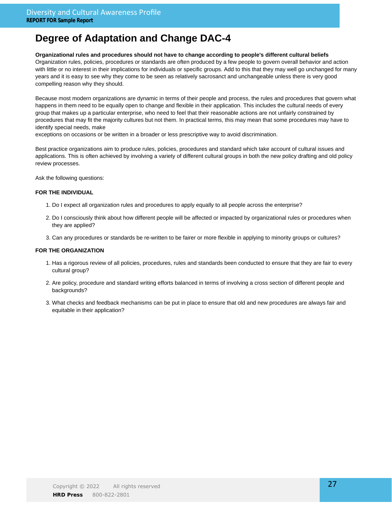### **Organizational rules and procedures should not have to change according to people's different cultural beliefs**

Organization rules, policies, procedures or standards are often produced by a few people to govern overall behavior and action with little or no interest in their implications for individuals or specific groups. Add to this that they may well go unchanged for many years and it is easy to see why they come to be seen as relatively sacrosanct and unchangeable unless there is very good compelling reason why they should.

Because most modern organizations are dynamic in terms of their people and process, the rules and procedures that govern what happens in them need to be equally open to change and flexible in their application. This includes the cultural needs of every group that makes up a particular enterprise, who need to feel that their reasonable actions are not unfairly constrained by procedures that may fit the majority cultures but not them. In practical terms, this may mean that some procedures may have to identify special needs, make

exceptions on occasions or be written in a broader or less prescriptive way to avoid discrimination.

Best practice organizations aim to produce rules, policies, procedures and standard which take account of cultural issues and applications. This is often achieved by involving a variety of different cultural groups in both the new policy drafting and old policy review processes.

Ask the following questions:

### **FOR THE INDIVIDUAL**

- 1. Do I expect all organization rules and procedures to apply equally to all people across the enterprise?
- 2. Do I consciously think about how different people will be affected or impacted by organizational rules or procedures when they are applied?
- 3. Can any procedures or standards be re-written to be fairer or more flexible in applying to minority groups or cultures?

- 1. Has a rigorous review of all policies, procedures, rules and standards been conducted to ensure that they are fair to every cultural group?
- 2. Are policy, procedure and standard writing efforts balanced in terms of involving a cross section of different people and backgrounds?
- 3. What checks and feedback mechanisms can be put in place to ensure that old and new procedures are always fair and equitable in their application?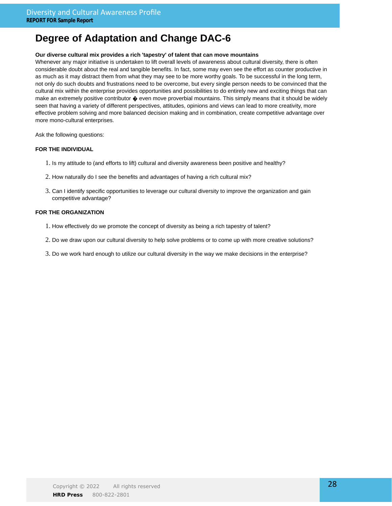### **Our diverse cultural mix provides a rich 'tapestry' of talent that can move mountains**

Whenever any major initiative is undertaken to lift overall levels of awareness about cultural diversity, there is often considerable doubt about the real and tangible benefits. In fact, some may even see the effort as counter productive in as much as it may distract them from what they may see to be more worthy goals. To be successful in the long term, not only do such doubts and frustrations need to be overcome, but every single person needs to be convinced that the cultural mix within the enterprise provides opportunities and possibilities to do entirely new and exciting things that can make an extremely positive contributor  $\diamondsuit$  even move proverbial mountains. This simply means that it should be widely seen that having a variety of different perspectives, attitudes, opinions and views can lead to more creativity, more effective problem solving and more balanced decision making and in combination, create competitive advantage over more mono-cultural enterprises.

Ask the following questions:

### **FOR THE INDIVIDUAL**

- 1. Is my attitude to (and efforts to lift) cultural and diversity awareness been positive and healthy?
- 2. How naturally do I see the benefits and advantages of having a rich cultural mix?
- 3. Can I identify specific opportunities to leverage our cultural diversity to improve the organization and gain competitive advantage?

- 1. How effectively do we promote the concept of diversity as being a rich tapestry of talent?
- 2. Do we draw upon our cultural diversity to help solve problems or to come up with more creative solutions?
- 3. Do we work hard enough to utilize our cultural diversity in the way we make decisions in the enterprise?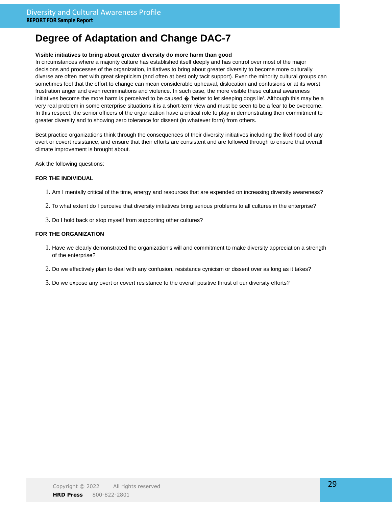### **Visible initiatives to bring about greater diversity do more harm than good**

In circumstances where a majority culture has established itself deeply and has control over most of the major decisions and processes of the organization, initiatives to bring about greater diversity to become more culturally diverse are often met with great skepticism (and often at best only tacit support). Even the minority cultural groups can sometimes feel that the effort to change can mean considerable upheaval, dislocation and confusions or at its worst frustration anger and even recriminations and violence. In such case, the more visible these cultural awareness initiatives become the more harm is perceived to be caused  $\diamondsuit$  'better to let sleeping dogs lie'. Although this may be a very real problem in some enterprise situations it is a short-term view and must be seen to be a fear to be overcome. In this respect, the senior officers of the organization have a critical role to play in demonstrating their commitment to greater diversity and to showing zero tolerance for dissent (in whatever form) from others.

Best practice organizations think through the consequences of their diversity initiatives including the likelihood of any overt or covert resistance, and ensure that their efforts are consistent and are followed through to ensure that overall climate improvement is brought about.

Ask the following questions:

### **FOR THE INDIVIDUAL**

- 1. Am I mentally critical of the time, energy and resources that are expended on increasing diversity awareness?
- 2. To what extent do I perceive that diversity initiatives bring serious problems to all cultures in the enterprise?
- 3. Do I hold back or stop myself from supporting other cultures?

- 1. Have we clearly demonstrated the organization's will and commitment to make diversity appreciation a strength of the enterprise?
- 2. Do we effectively plan to deal with any confusion, resistance cynicism or dissent over as long as it takes?
- 3. Do we expose any overt or covert resistance to the overall positive thrust of our diversity efforts?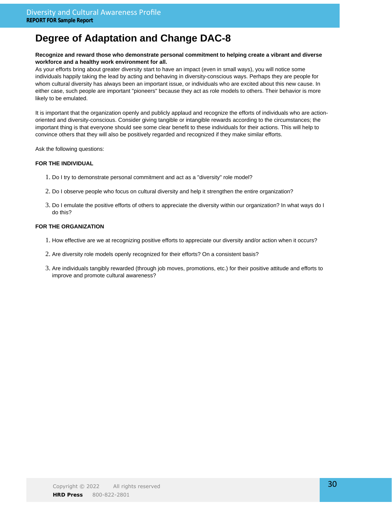### **Recognize and reward those who demonstrate personal commitment to helping create a vibrant and diverse workforce and a healthy work environment for all.**

As your efforts bring about greater diversity start to have an impact (even in small ways), you will notice some individuals happily taking the lead by acting and behaving in diversity-conscious ways. Perhaps they are people for whom cultural diversity has always been an important issue, or individuals who are excited about this new cause. In either case, such people are important "pioneers" because they act as role models to others. Their behavior is more likely to be emulated.

It is important that the organization openly and publicly applaud and recognize the efforts of individuals who are actionoriented and diversity-conscious. Consider giving tangible or intangible rewards according to the circumstances; the important thing is that everyone should see some clear benefit to these individuals for their actions. This will help to convince others that they will also be positively regarded and recognized if they make similar efforts.

Ask the following questions:

### **FOR THE INDIVIDUAL**

- 1. Do I try to demonstrate personal commitment and act as a "diversity" role model?
- 2. Do I observe people who focus on cultural diversity and help it strengthen the entire organization?
- Do I emulate the positive efforts of others to appreciate the diversity within our organization? In what ways do I 3. do this?

- 1. How effective are we at recognizing positive efforts to appreciate our diversity and/or action when it occurs?
- 2. Are diversity role models openly recognized for their efforts? On a consistent basis?
- 3. Are individuals tangibly rewarded (through job moves, promotions, etc.) for their positive attitude and efforts to improve and promote cultural awareness?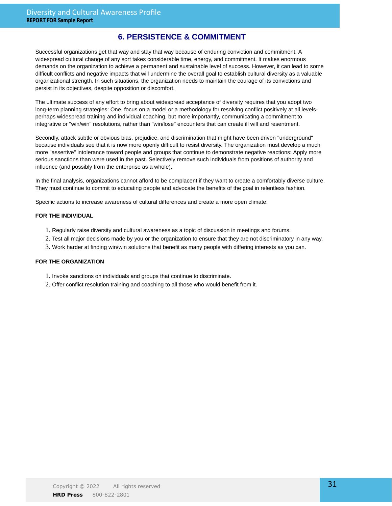### **6. PERSISTENCE & COMMITMENT**

Successful organizations get that way and stay that way because of enduring conviction and commitment. A widespread cultural change of any sort takes considerable time, energy, and commitment. It makes enormous demands on the organization to achieve a permanent and sustainable level of success. However, it can lead to some difficult conflicts and negative impacts that will undermine the overall goal to establish cultural diversity as a valuable organizational strength. In such situations, the organization needs to maintain the courage of its convictions and persist in its objectives, despite opposition or discomfort.

The ultimate success of any effort to bring about widespread acceptance of diversity requires that you adopt two long-term planning strategies: One, focus on a model or a methodology for resolving conflict positively at all levelsperhaps widespread training and individual coaching, but more importantly, communicating a commitment to integrative or "win/win" resolutions, rather than "win/lose" encounters that can create ill will and resentment.

Secondly, attack subtle or obvious bias, prejudice, and discrimination that might have been driven "underground" because individuals see that it is now more openly difficult to resist diversity. The organization must develop a much more "assertive" intolerance toward people and groups that continue to demonstrate negative reactions: Apply more serious sanctions than were used in the past. Selectively remove such individuals from positions of authority and influence (and possibly from the enterprise as a whole).

In the final analysis, organizations cannot afford to be complacent if they want to create a comfortably diverse culture. They must continue to commit to educating people and advocate the benefits of the goal in relentless fashion.

Specific actions to increase awareness of cultural differences and create a more open climate:

#### **FOR THE INDIVIDUAL**

- 1. Regularly raise diversity and cultural awareness as a topic of discussion in meetings and forums.
- 2. Test all major decisions made by you or the organization to ensure that they are not discriminatory in any way.
- 3. Work harder at finding win/win solutions that benefit as many people with differing interests as you can.

- 1. Invoke sanctions on individuals and groups that continue to discriminate.
- 2. Offer conflict resolution training and coaching to all those who would benefit from it.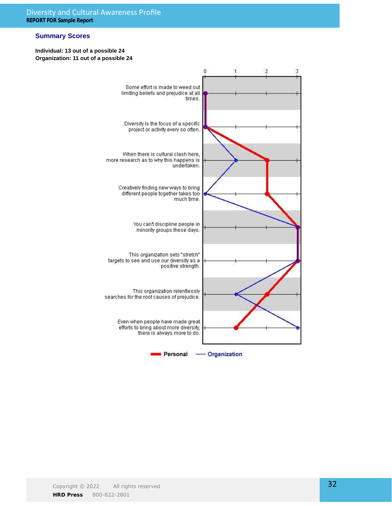### **Summary Scores**

### **Individual: 13 out of a possible 24 Organization: 11 out of a possible 24**

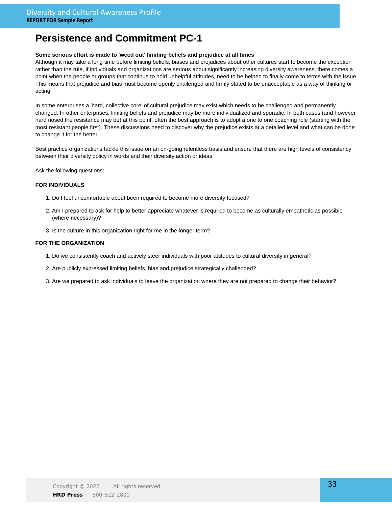### **Persistence and Commitment PC-1**

### **Some serious effort is made to 'weed out' limiting beliefs and prejudice at all times**

Although it may take a long time before limiting beliefs, biases and prejudices about other cultures start to become the exception rather than the rule, if individuals and organizations are serious about significantly increasing diversity awareness, there comes a point when the people or groups that continue to hold unhelpful attitudes, need to be helped to finally come to terms with the issue. This means that prejudice and bias must become openly challenged and firmly stated to be unacceptable as a way of thinking or acting.

In some enterprises a 'hard, collective core' of cultural prejudice may exist which needs to be challenged and permanently changed. In other enterprises, limiting beliefs and prejudice may be more individualized and sporadic. In both cases (and however hard nosed the resistance may be) at this point, often the best approach is to adopt a one to one coaching role (starting with the most resistant people first). These discussions need to discover why the prejudice exists at a detailed level and what can be done to change it for the better.

Best practice organizations tackle this issue on an on-going relentless basis and ensure that there are high levels of consistency between their diversity policy in words and their diversity action or ideas.

Ask the following questions:

### **FOR INDIVIDUALS**

- 1. Do I feel uncomfortable about been required to become more diversity focused?
- 2. Am I prepared to ask for help to better appreciate whatever is required to become as culturally empathetic as possible (where necessary)?
- 3. Is the culture in this organization right for me in the longer term?

- 1. Do we consistently coach and actively steer individuals with poor attitudes to cultural diversity in general?
- 2. Are publicly expressed limiting beliefs, bias and prejudice strategically challenged?
- 3. Are we prepared to ask individuals to leave the organization where they are not prepared to change their behavior?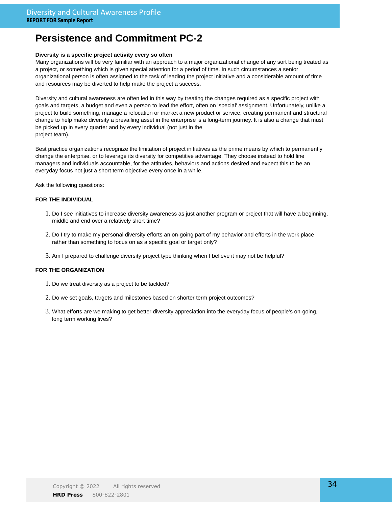## **Persistence and Commitment PC-2**

### **Diversity is a specific project activity every so often**

Many organizations will be very familiar with an approach to a major organizational change of any sort being treated as a project, or something which is given special attention for a period of time. In such circumstances a senior organizational person is often assigned to the task of leading the project initiative and a considerable amount of time and resources may be diverted to help make the project a success.

Diversity and cultural awareness are often led in this way by treating the changes required as a specific project with goals and targets, a budget and even a person to lead the effort, often on 'special' assignment. Unfortunately, unlike a project to build something, manage a relocation or market a new product or service, creating permanent and structural change to help make diversity a prevailing asset in the enterprise is a long-term journey. It is also a change that must be picked up in every quarter and by every individual (not just in the project team).

Best practice organizations recognize the limitation of project initiatives as the prime means by which to permanently change the enterprise, or to leverage its diversity for competitive advantage. They choose instead to hold line managers and individuals accountable, for the attitudes, behaviors and actions desired and expect this to be an everyday focus not just a short term objective every once in a while.

Ask the following questions:

### **FOR THE INDIVIDUAL**

- Do I see initiatives to increase diversity awareness as just another program or project that will have a beginning, 1. middle and end over a relatively short time?
- 2. Do I try to make my personal diversity efforts an on-going part of my behavior and efforts in the work place rather than something to focus on as a specific goal or target only?
- 3. Am I prepared to challenge diversity project type thinking when I believe it may not be helpful?

- 1. Do we treat diversity as a project to be tackled?
- 2. Do we set goals, targets and milestones based on shorter term project outcomes?
- 3. What efforts are we making to get better diversity appreciation into the everyday focus of people's on-going, long term working lives?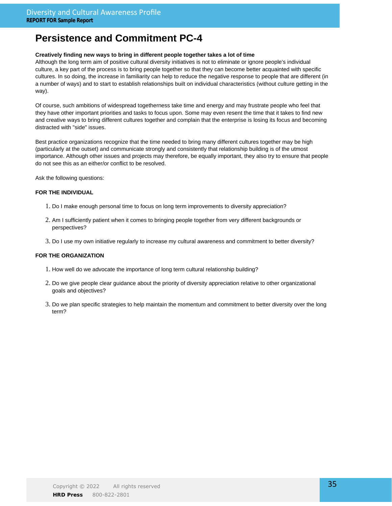### **Persistence and Commitment PC-4**

### **Creatively finding new ways to bring in different people together takes a lot of time**

Although the long term aim of positive cultural diversity initiatives is not to eliminate or ignore people's individual culture, a key part of the process is to bring people together so that they can become better acquainted with specific cultures. In so doing, the increase in familiarity can help to reduce the negative response to people that are different (in a number of ways) and to start to establish relationships built on individual characteristics (without culture getting in the way).

Of course, such ambitions of widespread togetherness take time and energy and may frustrate people who feel that they have other important priorities and tasks to focus upon. Some may even resent the time that it takes to find new and creative ways to bring different cultures together and complain that the enterprise is losing its focus and becoming distracted with ''side" issues.

Best practice organizations recognize that the time needed to bring many different cultures together may be high (particularly at the outset) and communicate strongly and consistently that relationship building is of the utmost importance. Although other issues and projects may therefore, be equally important, they also try to ensure that people do not see this as an either/or conflict to be resolved.

Ask the following questions:

### **FOR THE INDIVIDUAL**

- 1. Do I make enough personal time to focus on long term improvements to diversity appreciation?
- 2. Am I sufficiently patient when it comes to bringing people together from very different backgrounds or perspectives?
- 3. Do I use my own initiative regularly to increase my cultural awareness and commitment to better diversity?

- 1. How well do we advocate the importance of long term cultural relationship building?
- 2. Do we give people clear guidance about the priority of diversity appreciation relative to other organizational goals and objectives?
- 3. Do we plan specific strategies to help maintain the momentum and commitment to better diversity over the long term?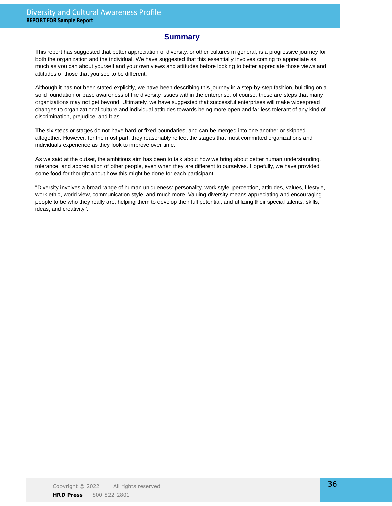### **Summary**

This report has suggested that better appreciation of diversity, or other cultures in general, is a progressive journey for both the organization and the individual. We have suggested that this essentially involves coming to appreciate as much as you can about yourself and your own views and attitudes before looking to better appreciate those views and attitudes of those that you see to be different.

Although it has not been stated explicitly, we have been describing this journey in a step-by-step fashion, building on a solid foundation or base awareness of the diversity issues within the enterprise; of course, these are steps that many organizations may not get beyond. Ultimately, we have suggested that successful enterprises will make widespread changes to organizational culture and individual attitudes towards being more open and far less tolerant of any kind of discrimination, prejudice, and bias.

The six steps or stages do not have hard or fixed boundaries, and can be merged into one another or skipped altogether. However, for the most part, they reasonably reflect the stages that most committed organizations and individuals experience as they look to improve over time.

As we said at the outset, the ambitious aim has been to talk about how we bring about better human understanding, tolerance, and appreciation of other people, even when they are different to ourselves. Hopefully, we have provided some food for thought about how this might be done for each participant.

"Diversity involves a broad range of human uniqueness: personality, work style, perception, attitudes, values, lifestyle, work ethic, world view, communication style, and much more. Valuing diversity means appreciating and encouraging people to be who they really are, helping them to develop their full potential, and utilizing their special talents, skills, ideas, and creativity".